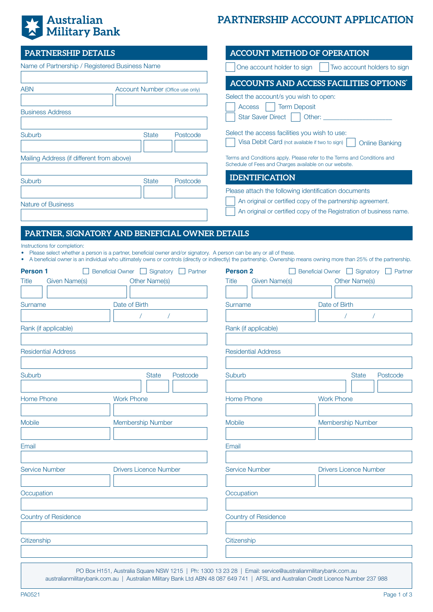# | Australian<br>| Military Bank 美

## **PARTNERSHIP ACCOUNT APPLICATION**

| <b>PARTNERSHIP DETAILS</b>                                                                                                                                                                                                                                                                                                       |                            |                                 | <b>ACCOUNT METHOD OF OPERATION</b>                                                                                                                                                         |                               |                                 |  |  |
|----------------------------------------------------------------------------------------------------------------------------------------------------------------------------------------------------------------------------------------------------------------------------------------------------------------------------------|----------------------------|---------------------------------|--------------------------------------------------------------------------------------------------------------------------------------------------------------------------------------------|-------------------------------|---------------------------------|--|--|
| Name of Partnership / Registered Business Name                                                                                                                                                                                                                                                                                   |                            |                                 | One account holder to sign                                                                                                                                                                 |                               | Two account holders to sign     |  |  |
| <b>ABN</b><br>Account Number (Office use only)                                                                                                                                                                                                                                                                                   |                            |                                 | <b>ACCOUNTS AND ACCESS FACILITIES OPTIONS'</b><br>Select the account/s you wish to open:                                                                                                   |                               |                                 |  |  |
| <b>Business Address</b>                                                                                                                                                                                                                                                                                                          |                            |                                 | <b>Term Deposit</b><br><b>Access</b><br>Star Saver Direct                                                                                                                                  |                               |                                 |  |  |
| Suburb                                                                                                                                                                                                                                                                                                                           |                            | <b>State</b><br>Postcode        | Select the access facilities you wish to use:<br>Visa Debit Card (not available if two to sign)<br><b>Online Banking</b>                                                                   |                               |                                 |  |  |
| Mailing Address (if different from above)                                                                                                                                                                                                                                                                                        |                            |                                 | Terms and Conditions apply. Please refer to the Terms and Conditions and<br>Schedule of Fees and Charges available on our website.                                                         |                               |                                 |  |  |
| Suburb                                                                                                                                                                                                                                                                                                                           |                            | <b>State</b><br>Postcode        | <b>IDENTIFICATION</b>                                                                                                                                                                      |                               |                                 |  |  |
| <b>Nature of Business</b>                                                                                                                                                                                                                                                                                                        |                            |                                 | Please attach the following identification documents<br>An original or certified copy of the partnership agreement.<br>An original or certified copy of the Registration of business name. |                               |                                 |  |  |
| PARTNER, SIGNATORY AND BENEFICIAL OWNER DETAILS                                                                                                                                                                                                                                                                                  |                            |                                 |                                                                                                                                                                                            |                               |                                 |  |  |
| Instructions for completion:<br>Please select whether a person is a partner, beneficial owner and/or signatory. A person can be any or all of these.<br>• A beneficial owner is an individual who ultimately owns or controls (directly or indirectly) the partnership. Ownership means owning more than 25% of the partnership. |                            |                                 |                                                                                                                                                                                            |                               |                                 |  |  |
| <b>Person 1</b><br>Given Name(s)<br>Title                                                                                                                                                                                                                                                                                        | Beneficial Owner Signatory | Partner<br><b>Other Name(s)</b> | <b>Person 2</b><br>Given Name(s)<br>Title                                                                                                                                                  | Beneficial Owner   Signatory  | Partner<br><b>Other Name(s)</b> |  |  |
| Surname                                                                                                                                                                                                                                                                                                                          | Date of Birth              |                                 | Surname                                                                                                                                                                                    | Date of Birth                 |                                 |  |  |
|                                                                                                                                                                                                                                                                                                                                  |                            |                                 |                                                                                                                                                                                            |                               |                                 |  |  |
| Rank (if applicable)                                                                                                                                                                                                                                                                                                             |                            |                                 | Rank (if applicable)                                                                                                                                                                       |                               |                                 |  |  |
| <b>Residential Address</b>                                                                                                                                                                                                                                                                                                       |                            |                                 | <b>Residential Address</b>                                                                                                                                                                 |                               |                                 |  |  |
| Suburb                                                                                                                                                                                                                                                                                                                           |                            | <b>State</b><br>Postcode        | Suburb                                                                                                                                                                                     |                               | <b>State</b><br>Postcode        |  |  |
| <b>Home Phone</b>                                                                                                                                                                                                                                                                                                                | <b>Work Phone</b>          |                                 | Home Phone<br><b>Work Phone</b>                                                                                                                                                            |                               |                                 |  |  |
| Mobile                                                                                                                                                                                                                                                                                                                           | <b>Membership Number</b>   |                                 | <b>Mobile</b>                                                                                                                                                                              |                               | Membership Number               |  |  |
| Email                                                                                                                                                                                                                                                                                                                            |                            |                                 | Email                                                                                                                                                                                      |                               |                                 |  |  |
| <b>Service Number</b><br><b>Drivers Licence Number</b>                                                                                                                                                                                                                                                                           |                            | <b>Service Number</b>           |                                                                                                                                                                                            | <b>Drivers Licence Number</b> |                                 |  |  |
| Occupation                                                                                                                                                                                                                                                                                                                       |                            |                                 | Occupation                                                                                                                                                                                 |                               |                                 |  |  |
| <b>Country of Residence</b>                                                                                                                                                                                                                                                                                                      |                            |                                 | <b>Country of Residence</b>                                                                                                                                                                |                               |                                 |  |  |
| Citizenship                                                                                                                                                                                                                                                                                                                      |                            |                                 | Citizenship                                                                                                                                                                                |                               |                                 |  |  |
|                                                                                                                                                                                                                                                                                                                                  |                            |                                 | PO Box H151, Australia Square NSW 1215   Ph: 1300 13 23 28   Email: service@australianmilitarybank.com.au                                                                                  |                               |                                 |  |  |

australianmilitarybank.com.au | Australian Military Bank Ltd ABN 48 087 649 741 | AFSL and Australian Credit Licence Number 237 988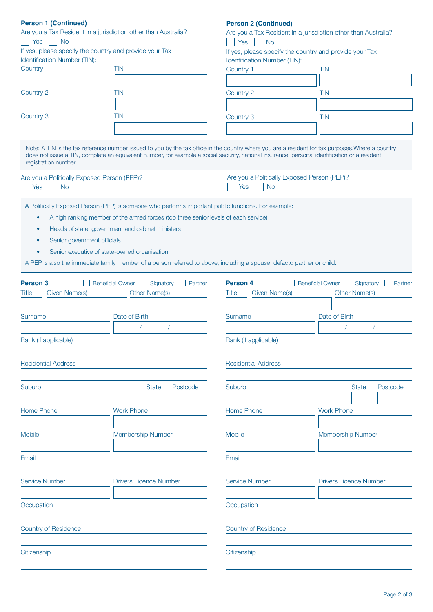| <b>Person 1 (Continued)</b>                                                                                                                                           |                               |                | <b>Person 2 (Continued)</b>                                                             |                         |                               |  |  |
|-----------------------------------------------------------------------------------------------------------------------------------------------------------------------|-------------------------------|----------------|-----------------------------------------------------------------------------------------|-------------------------|-------------------------------|--|--|
| Are you a Tax Resident in a jurisdiction other than Australia?                                                                                                        |                               |                | Are you a Tax Resident in a jurisdiction other than Australia?                          |                         |                               |  |  |
| Yes<br><b>No</b>                                                                                                                                                      |                               |                | Yes<br><b>No</b>                                                                        |                         |                               |  |  |
| If yes, please specify the country and provide your Tax<br>Identification Number (TIN):                                                                               |                               |                | If yes, please specify the country and provide your Tax<br>Identification Number (TIN): |                         |                               |  |  |
| Country 1                                                                                                                                                             | <b>TIN</b>                    |                | Country 1                                                                               | <b>TIN</b>              |                               |  |  |
|                                                                                                                                                                       |                               |                |                                                                                         |                         |                               |  |  |
| Country 2                                                                                                                                                             | <b>TIN</b>                    |                | Country 2                                                                               | <b>TIN</b>              |                               |  |  |
|                                                                                                                                                                       |                               |                |                                                                                         |                         |                               |  |  |
| Country 3                                                                                                                                                             | <b>TIN</b>                    |                |                                                                                         |                         |                               |  |  |
|                                                                                                                                                                       |                               |                | Country 3                                                                               | <b>TIN</b>              |                               |  |  |
| Note: A TIN is the tax reference number issued to you by the tax office in the country where you are a resident for tax purposes. Where a country                     |                               |                |                                                                                         |                         |                               |  |  |
| does not issue a TIN, complete an equivalent number, for example a social security, national insurance, personal identification or a resident<br>registration number. |                               |                |                                                                                         |                         |                               |  |  |
| Are you a Politically Exposed Person (PEP)?                                                                                                                           |                               |                | Are you a Politically Exposed Person (PEP)?                                             |                         |                               |  |  |
| <b>Yes</b><br><b>No</b>                                                                                                                                               |                               |                | Yes<br><b>No</b>                                                                        |                         |                               |  |  |
| A Politically Exposed Person (PEP) is someone who performs important public functions. For example:                                                                   |                               |                |                                                                                         |                         |                               |  |  |
|                                                                                                                                                                       |                               |                |                                                                                         |                         |                               |  |  |
| A high ranking member of the armed forces (top three senior levels of each service)<br>$\bullet$                                                                      |                               |                |                                                                                         |                         |                               |  |  |
| Heads of state, government and cabinet ministers<br>۰                                                                                                                 |                               |                |                                                                                         |                         |                               |  |  |
| Senior government officials<br>٠                                                                                                                                      |                               |                |                                                                                         |                         |                               |  |  |
| Senior executive of state-owned organisation                                                                                                                          |                               |                |                                                                                         |                         |                               |  |  |
| A PEP is also the immediate family member of a person referred to above, including a spouse, defacto partner or child.                                                |                               |                |                                                                                         |                         |                               |  |  |
|                                                                                                                                                                       |                               |                |                                                                                         |                         |                               |  |  |
| <b>Person 3</b>                                                                                                                                                       | Beneficial Owner Signatory    | $\Box$ Partner | <b>Person 4</b>                                                                         | <b>Beneficial Owner</b> | $\Box$ Signatory<br>Partner   |  |  |
| Given Name(s)<br>Title                                                                                                                                                | <b>Other Name(s)</b>          |                | <b>Given Name(s)</b><br>Title                                                           |                         | <b>Other Name(s)</b>          |  |  |
|                                                                                                                                                                       |                               |                |                                                                                         |                         |                               |  |  |
|                                                                                                                                                                       |                               |                |                                                                                         |                         |                               |  |  |
| Surname                                                                                                                                                               | Date of Birth                 |                | Surname                                                                                 | Date of Birth           |                               |  |  |
|                                                                                                                                                                       |                               |                |                                                                                         |                         |                               |  |  |
| Rank (if applicable)                                                                                                                                                  |                               |                | Rank (if applicable)                                                                    |                         |                               |  |  |
|                                                                                                                                                                       |                               |                |                                                                                         |                         |                               |  |  |
| <b>Residential Address</b>                                                                                                                                            |                               |                | <b>Residential Address</b>                                                              |                         |                               |  |  |
|                                                                                                                                                                       |                               |                |                                                                                         |                         |                               |  |  |
|                                                                                                                                                                       |                               |                |                                                                                         |                         |                               |  |  |
| Suburb                                                                                                                                                                | <b>State</b>                  | Postcode       | Suburb                                                                                  |                         | Postcode<br><b>State</b>      |  |  |
|                                                                                                                                                                       |                               |                |                                                                                         |                         |                               |  |  |
| Home Phone                                                                                                                                                            | <b>Work Phone</b>             |                | <b>Home Phone</b>                                                                       | <b>Work Phone</b>       |                               |  |  |
|                                                                                                                                                                       |                               |                |                                                                                         |                         |                               |  |  |
| Mobile                                                                                                                                                                | Membership Number             |                | Mobile                                                                                  |                         | Membership Number             |  |  |
|                                                                                                                                                                       |                               |                |                                                                                         |                         |                               |  |  |
|                                                                                                                                                                       |                               |                |                                                                                         |                         |                               |  |  |
| Email                                                                                                                                                                 |                               |                | Email                                                                                   |                         |                               |  |  |
|                                                                                                                                                                       |                               |                |                                                                                         |                         |                               |  |  |
| <b>Service Number</b>                                                                                                                                                 | <b>Drivers Licence Number</b> |                | <b>Service Number</b>                                                                   |                         | <b>Drivers Licence Number</b> |  |  |
|                                                                                                                                                                       |                               |                |                                                                                         |                         |                               |  |  |
|                                                                                                                                                                       |                               |                |                                                                                         |                         |                               |  |  |
| Occupation                                                                                                                                                            |                               |                | Occupation                                                                              |                         |                               |  |  |
|                                                                                                                                                                       |                               |                |                                                                                         |                         |                               |  |  |
| <b>Country of Residence</b>                                                                                                                                           |                               |                | <b>Country of Residence</b>                                                             |                         |                               |  |  |
|                                                                                                                                                                       |                               |                |                                                                                         |                         |                               |  |  |
|                                                                                                                                                                       |                               |                |                                                                                         |                         |                               |  |  |
| Citizenship                                                                                                                                                           |                               |                | Citizenship                                                                             |                         |                               |  |  |
|                                                                                                                                                                       |                               |                |                                                                                         |                         |                               |  |  |